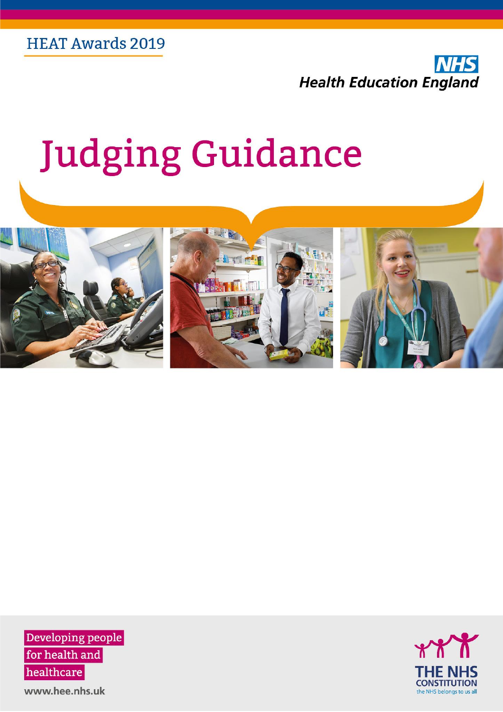

# **Judging Guidance**



Developing people for health and healthcare

THE NHS **CONSTITUTION** the NHS belongs to us all

www.hee.nhs.uk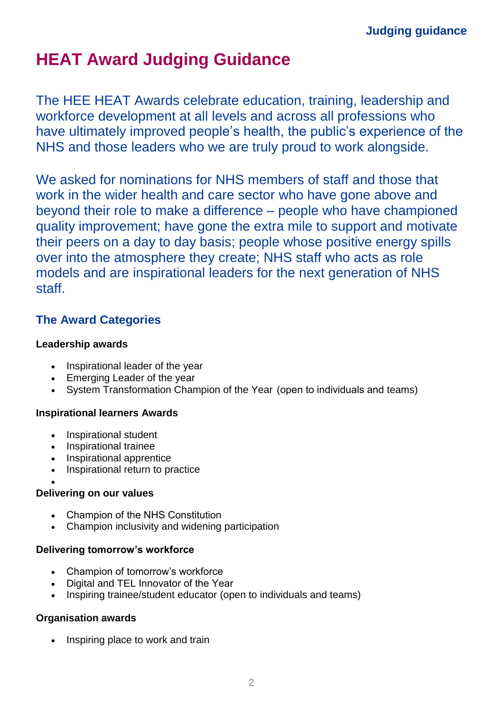# **HEAT Award Judging Guidance**

The HEE HEAT Awards celebrate education, training, leadership and workforce development at all levels and across all professions who have ultimately improved people's health, the public's experience of the NHS and those leaders who we are truly proud to work alongside.

We asked for nominations for NHS members of staff and those that work in the wider health and care sector who have gone above and beyond their role to make a difference – people who have championed quality improvement; have gone the extra mile to support and motivate their peers on a day to day basis; people whose positive energy spills over into the atmosphere they create; NHS staff who acts as role models and are inspirational leaders for the next generation of NHS staff.

## **The Award Categories**

### **Leadership awards**

- Inspirational leader of the year
- Emerging Leader of the year
- System Transformation Champion of the Year (open to individuals and teams)

### **Inspirational learners Awards**

- Inspirational student
- Inspirational trainee
- Inspirational apprentice
- Inspirational return to practice

#### • **Delivering on our values**

- Champion of the NHS Constitution
- Champion inclusivity and widening participation

### **Delivering tomorrow's workforce**

- Champion of tomorrow's workforce
- Digital and TEL Innovator of the Year
- Inspiring trainee/student educator (open to individuals and teams)

## **Organisation awards**

• Inspiring place to work and train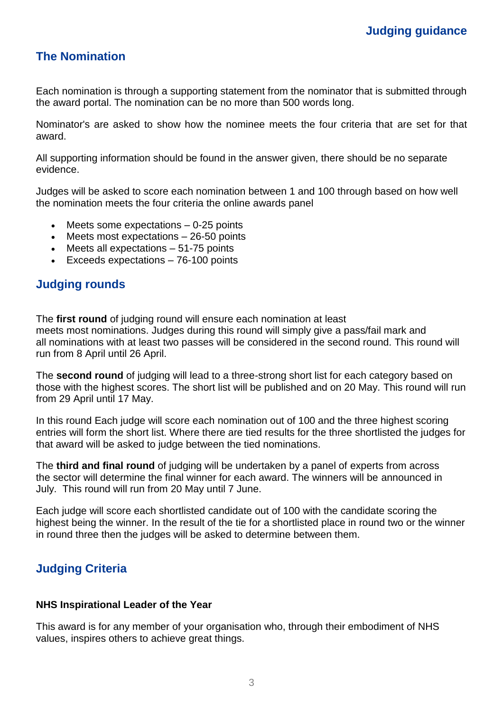## **The Nomination**

Each nomination is through a supporting statement from the nominator that is submitted through the award portal. The nomination can be no more than 500 words long.

Nominator's are asked to show how the nominee meets the four criteria that are set for that award.

All supporting information should be found in the answer given, there should be no separate evidence.

Judges will be asked to score each nomination between 1 and 100 through based on how well the nomination meets the four criteria the online awards panel

- Meets some expectations  $-0-25$  points
- Meets most expectations  $-26-50$  points
- Meets all expectations  $-51-75$  points
- Exceeds expectations 76-100 points

## **Judging rounds**

The **first round** of judging round will ensure each nomination at least meets most nominations. Judges during this round will simply give a pass/fail mark and all nominations with at least two passes will be considered in the second round. This round will run from 8 April until 26 April.

The **second round** of judging will lead to a three-strong short list for each category based on those with the highest scores. The short list will be published and on 20 May. This round will run from 29 April until 17 May.

In this round Each judge will score each nomination out of 100 and the three highest scoring entries will form the short list. Where there are tied results for the three shortlisted the judges for that award will be asked to judge between the tied nominations.

The **third and final round** of judging will be undertaken by a panel of experts from across the sector will determine the final winner for each award. The winners will be announced in July. This round will run from 20 May until 7 June.

Each judge will score each shortlisted candidate out of 100 with the candidate scoring the highest being the winner. In the result of the tie for a shortlisted place in round two or the winner in round three then the judges will be asked to determine between them.

## **Judging Criteria**

#### **NHS Inspirational Leader of the Year**

This award is for any member of your organisation who, through their embodiment of NHS values, inspires others to achieve great things.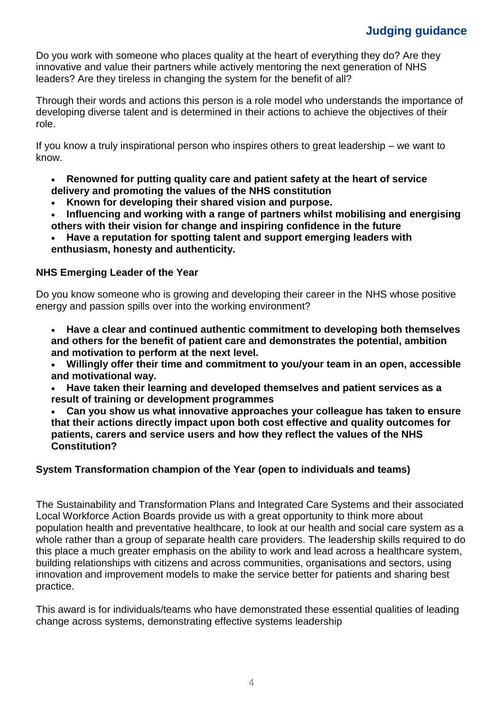Do you work with someone who places quality at the heart of everything they do? Are they innovative and value their partners while actively mentoring the next generation of NHS leaders? Are they tireless in changing the system for the benefit of all?

Through their words and actions this person is a role model who understands the importance of developing diverse talent and is determined in their actions to achieve the objectives of their role.

If you know a truly inspirational person who inspires others to great leadership – we want to know.

- **Renowned for putting quality care and patient safety at the heart of service delivery and promoting the values of the NHS constitution**
- **Known for developing their shared vision and purpose.**
- **Influencing and working with a range of partners whilst mobilising and energising others with their vision for change and inspiring confidence in the future**
- **Have a reputation for spotting talent and support emerging leaders with enthusiasm, honesty and authenticity.**

#### **NHS Emerging Leader of the Year**

Do you know someone who is growing and developing their career in the NHS whose positive energy and passion spills over into the working environment?

• **Have a clear and continued authentic commitment to developing both themselves and others for the benefit of patient care and demonstrates the potential, ambition and motivation to perform at the next level.**

- **Willingly offer their time and commitment to you/your team in an open, accessible and motivational way.**
- **Have taken their learning and developed themselves and patient services as a result of training or development programmes**

• **Can you show us what innovative approaches your colleague has taken to ensure that their actions directly impact upon both cost effective and quality outcomes for patients, carers and service users and how they reflect the values of the NHS Constitution?**

#### **System Transformation champion of the Year (open to individuals and teams)**

The Sustainability and Transformation Plans and Integrated Care Systems and their associated Local Workforce Action Boards provide us with a great opportunity to think more about population health and preventative healthcare, to look at our health and social care system as a whole rather than a group of separate health care providers. The leadership skills required to do this place a much greater emphasis on the ability to work and lead across a healthcare system, building relationships with citizens and across communities, organisations and sectors, using innovation and improvement models to make the service better for patients and sharing best practice.

This award is for individuals/teams who have demonstrated these essential qualities of leading change across systems, demonstrating effective systems leadership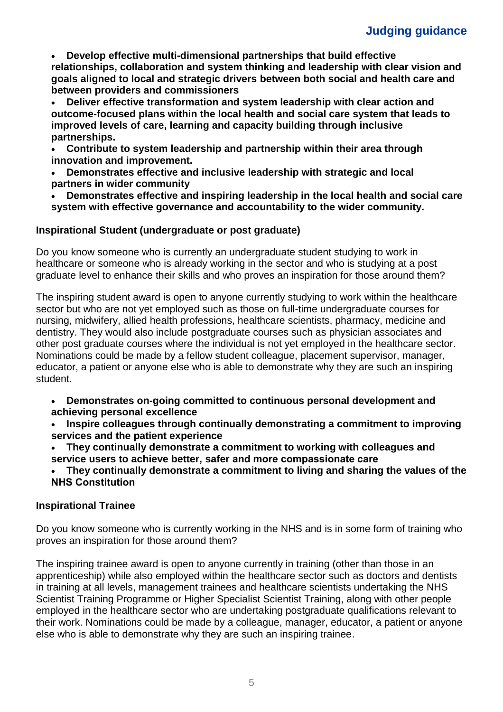• **Develop effective multi-dimensional partnerships that build effective relationships, collaboration and system thinking and leadership with clear vision and goals aligned to local and strategic drivers between both social and health care and between providers and commissioners**

• **Deliver effective transformation and system leadership with clear action and outcome-focused plans within the local health and social care system that leads to improved levels of care, learning and capacity building through inclusive partnerships.**

• **Contribute to system leadership and partnership within their area through innovation and improvement.**

• **Demonstrates effective and inclusive leadership with strategic and local partners in wider community**

• **Demonstrates effective and inspiring leadership in the local health and social care system with effective governance and accountability to the wider community.**

#### **Inspirational Student (undergraduate or post graduate)**

Do you know someone who is currently an undergraduate student studying to work in healthcare or someone who is already working in the sector and who is studying at a post graduate level to enhance their skills and who proves an inspiration for those around them?

The inspiring student award is open to anyone currently studying to work within the healthcare sector but who are not yet employed such as those on full-time undergraduate courses for nursing, midwifery, allied health professions, healthcare scientists, pharmacy, medicine and dentistry. They would also include postgraduate courses such as physician associates and other post graduate courses where the individual is not yet employed in the healthcare sector. Nominations could be made by a fellow student colleague, placement supervisor, manager, educator, a patient or anyone else who is able to demonstrate why they are such an inspiring student.

- **Demonstrates on-going committed to continuous personal development and achieving personal excellence**
- **Inspire colleagues through continually demonstrating a commitment to improving services and the patient experience**

• **They continually demonstrate a commitment to working with colleagues and service users to achieve better, safer and more compassionate care**

• **They continually demonstrate a commitment to living and sharing the values of the NHS Constitution**

#### **Inspirational Trainee**

Do you know someone who is currently working in the NHS and is in some form of training who proves an inspiration for those around them?

The inspiring trainee award is open to anyone currently in training (other than those in an apprenticeship) while also employed within the healthcare sector such as doctors and dentists in training at all levels, management trainees and healthcare scientists undertaking the NHS Scientist Training Programme or Higher Specialist Scientist Training, along with other people employed in the healthcare sector who are undertaking postgraduate qualifications relevant to their work. Nominations could be made by a colleague, manager, educator, a patient or anyone else who is able to demonstrate why they are such an inspiring trainee.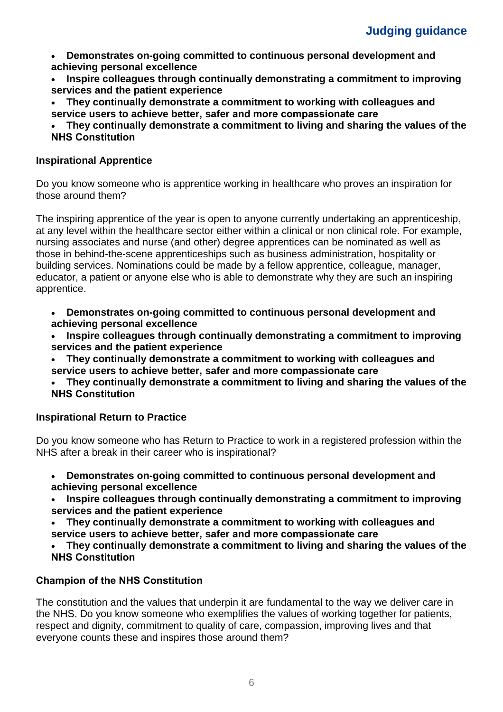- **Demonstrates on-going committed to continuous personal development and achieving personal excellence**
- **Inspire colleagues through continually demonstrating a commitment to improving services and the patient experience**
- **They continually demonstrate a commitment to working with colleagues and service users to achieve better, safer and more compassionate care**
- **They continually demonstrate a commitment to living and sharing the values of the NHS Constitution**

### **Inspirational Apprentice**

Do you know someone who is apprentice working in healthcare who proves an inspiration for those around them?

The inspiring apprentice of the year is open to anyone currently undertaking an apprenticeship, at any level within the healthcare sector either within a clinical or non clinical role. For example, nursing associates and nurse (and other) degree apprentices can be nominated as well as those in behind-the-scene apprenticeships such as business administration, hospitality or building services. Nominations could be made by a fellow apprentice, colleague, manager, educator, a patient or anyone else who is able to demonstrate why they are such an inspiring apprentice.

- **Demonstrates on-going committed to continuous personal development and achieving personal excellence**
- **Inspire colleagues through continually demonstrating a commitment to improving services and the patient experience**
- **They continually demonstrate a commitment to working with colleagues and service users to achieve better, safer and more compassionate care**
- **They continually demonstrate a commitment to living and sharing the values of the NHS Constitution**

### **Inspirational Return to Practice**

Do you know someone who has Return to Practice to work in a registered profession within the NHS after a break in their career who is inspirational?

- **Demonstrates on-going committed to continuous personal development and achieving personal excellence**
- **Inspire colleagues through continually demonstrating a commitment to improving services and the patient experience**
- **They continually demonstrate a commitment to working with colleagues and service users to achieve better, safer and more compassionate care**
- **They continually demonstrate a commitment to living and sharing the values of the NHS Constitution**

## **Champion of the NHS Constitution**

The constitution and the values that underpin it are fundamental to the way we deliver care in the NHS. Do you know someone who exemplifies the values of working together for patients, respect and dignity, commitment to quality of care, compassion, improving lives and that everyone counts these and inspires those around them?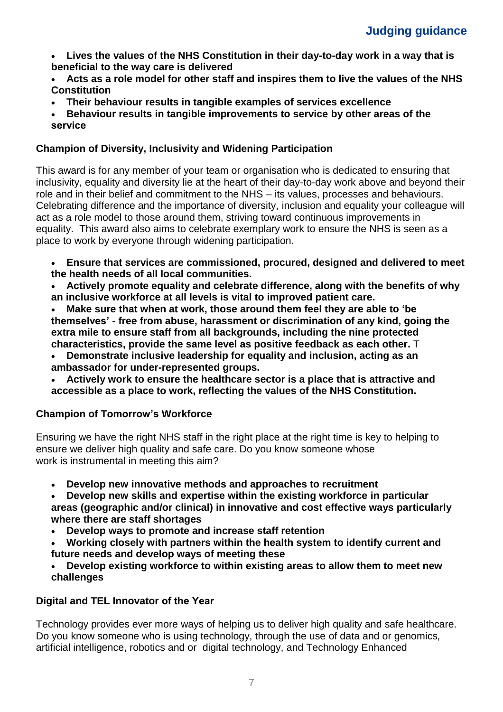- **Lives the values of the NHS Constitution in their day-to-day work in a way that is beneficial to the way care is delivered**
- **Acts as a role model for other staff and inspires them to live the values of the NHS Constitution**
- **Their behaviour results in tangible examples of services excellence**
- **Behaviour results in tangible improvements to service by other areas of the service**

## **Champion of Diversity, Inclusivity and Widening Participation**

This award is for any member of your team or organisation who is dedicated to ensuring that inclusivity, equality and diversity lie at the heart of their day-to-day work above and beyond their role and in their belief and commitment to the NHS – its values, processes and behaviours. Celebrating difference and the importance of diversity, inclusion and equality your colleague will act as a role model to those around them, striving toward continuous improvements in equality. This award also aims to celebrate exemplary work to ensure the NHS is seen as a place to work by everyone through widening participation.

- **Ensure that services are commissioned, procured, designed and delivered to meet the health needs of all local communities.**
- **Actively promote equality and celebrate difference, along with the benefits of why an inclusive workforce at all levels is vital to improved patient care.**

• **Make sure that when at work, those around them feel they are able to 'be themselves' - free from abuse, harassment or discrimination of any kind, going the extra mile to ensure staff from all backgrounds, including the nine protected characteristics, provide the same level as positive feedback as each other.** T

- **Demonstrate inclusive leadership for equality and inclusion, acting as an ambassador for under-represented groups.**
- **Actively work to ensure the healthcare sector is a place that is attractive and accessible as a place to work, reflecting the values of the NHS Constitution.**

## **Champion of Tomorrow's Workforce**

Ensuring we have the right NHS staff in the right place at the right time is key to helping to ensure we deliver high quality and safe care. Do you know someone whose work is instrumental in meeting this aim?

- **Develop new innovative methods and approaches to recruitment**
- **Develop new skills and expertise within the existing workforce in particular areas (geographic and/or clinical) in innovative and cost effective ways particularly where there are staff shortages**
- **Develop ways to promote and increase staff retention**
- **Working closely with partners within the health system to identify current and future needs and develop ways of meeting these**
- **Develop existing workforce to within existing areas to allow them to meet new challenges**

## **Digital and TEL Innovator of the Year**

Technology provides ever more ways of helping us to deliver high quality and safe healthcare. Do you know someone who is using technology, through the use of data and or genomics*,*  artificial intelligence, robotics and or digital technology, and Technology Enhanced